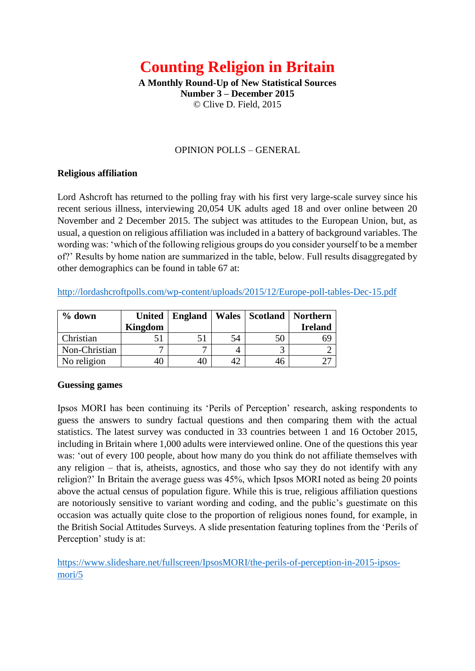# **Counting Religion in Britain**

**A Monthly Round-Up of New Statistical Sources Number 3 – December 2015**  © Clive D. Field, 2015

#### OPINION POLLS – GENERAL

#### **Religious affiliation**

Lord Ashcroft has returned to the polling fray with his first very large-scale survey since his recent serious illness, interviewing 20,054 UK adults aged 18 and over online between 20 November and 2 December 2015. The subject was attitudes to the European Union, but, as usual, a question on religious affiliation was included in a battery of background variables. The wording was: 'which of the following religious groups do you consider yourself to be a member of?' Results by home nation are summarized in the table, below. Full results disaggregated by other demographics can be found in table 67 at:

<http://lordashcroftpolls.com/wp-content/uploads/2015/12/Europe-poll-tables-Dec-15.pdf>

| $%$ down      | <b>United</b> | England |    | Wales   Scotland | Northern       |
|---------------|---------------|---------|----|------------------|----------------|
|               | Kingdom       |         |    |                  | <b>Ireland</b> |
| Christian     |               |         | 54 | 50               | 69             |
| Non-Christian |               | −       |    |                  |                |
| No religion   |               |         |    | 46               |                |

# **Guessing games**

Ipsos MORI has been continuing its 'Perils of Perception' research, asking respondents to guess the answers to sundry factual questions and then comparing them with the actual statistics. The latest survey was conducted in 33 countries between 1 and 16 October 2015, including in Britain where 1,000 adults were interviewed online. One of the questions this year was: 'out of every 100 people, about how many do you think do not affiliate themselves with any religion – that is, atheists, agnostics, and those who say they do not identify with any religion?' In Britain the average guess was 45%, which Ipsos MORI noted as being 20 points above the actual census of population figure. While this is true, religious affiliation questions are notoriously sensitive to variant wording and coding, and the public's guestimate on this occasion was actually quite close to the proportion of religious nones found, for example, in the British Social Attitudes Surveys. A slide presentation featuring toplines from the 'Perils of Perception' study is at:

[https://www.slideshare.net/fullscreen/IpsosMORI/the-perils-of-perception-in-2015-ipsos](https://www.slideshare.net/fullscreen/IpsosMORI/the-perils-of-perception-in-2015-ipsos-mori/5)[mori/5](https://www.slideshare.net/fullscreen/IpsosMORI/the-perils-of-perception-in-2015-ipsos-mori/5)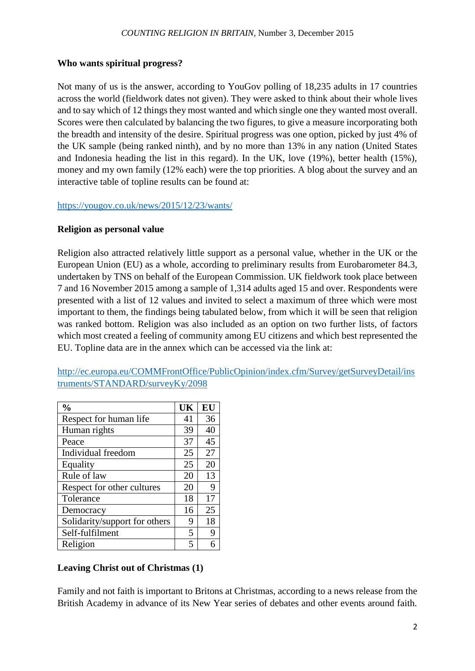# **Who wants spiritual progress?**

Not many of us is the answer, according to YouGov polling of 18,235 adults in 17 countries across the world (fieldwork dates not given). They were asked to think about their whole lives and to say which of 12 things they most wanted and which single one they wanted most overall. Scores were then calculated by balancing the two figures, to give a measure incorporating both the breadth and intensity of the desire. Spiritual progress was one option, picked by just 4% of the UK sample (being ranked ninth), and by no more than 13% in any nation (United States and Indonesia heading the list in this regard). In the UK, love (19%), better health (15%), money and my own family (12% each) were the top priorities. A blog about the survey and an interactive table of topline results can be found at:

<https://yougov.co.uk/news/2015/12/23/wants/>

# **Religion as personal value**

Religion also attracted relatively little support as a personal value, whether in the UK or the European Union (EU) as a whole, according to preliminary results from Eurobarometer 84.3, undertaken by TNS on behalf of the European Commission. UK fieldwork took place between 7 and 16 November 2015 among a sample of 1,314 adults aged 15 and over. Respondents were presented with a list of 12 values and invited to select a maximum of three which were most important to them, the findings being tabulated below, from which it will be seen that religion was ranked bottom. Religion was also included as an option on two further lists, of factors which most created a feeling of community among EU citizens and which best represented the EU. Topline data are in the annex which can be accessed via the link at:

[http://ec.europa.eu/COMMFrontOffice/PublicOpinion/index.cfm/Survey/getSurveyDetail/ins](http://ec.europa.eu/COMMFrontOffice/PublicOpinion/index.cfm/Survey/getSurveyDetail/instruments/STANDARD/surveyKy/2098) [truments/STANDARD/surveyKy/2098](http://ec.europa.eu/COMMFrontOffice/PublicOpinion/index.cfm/Survey/getSurveyDetail/instruments/STANDARD/surveyKy/2098)

| $\frac{0}{0}$                 | UK | EU |
|-------------------------------|----|----|
| Respect for human life        | 41 | 36 |
| Human rights                  | 39 | 40 |
| Peace                         | 37 | 45 |
| Individual freedom            | 25 | 27 |
| Equality                      | 25 | 20 |
| Rule of law                   | 20 | 13 |
| Respect for other cultures    | 20 | 9  |
| Tolerance                     | 18 | 17 |
| Democracy                     | 16 | 25 |
| Solidarity/support for others | 9  | 18 |
| Self-fulfilment               | 5  | 9  |
| Religion                      | 5  |    |

# **Leaving Christ out of Christmas (1)**

Family and not faith is important to Britons at Christmas, according to a news release from the British Academy in advance of its New Year series of debates and other events around faith.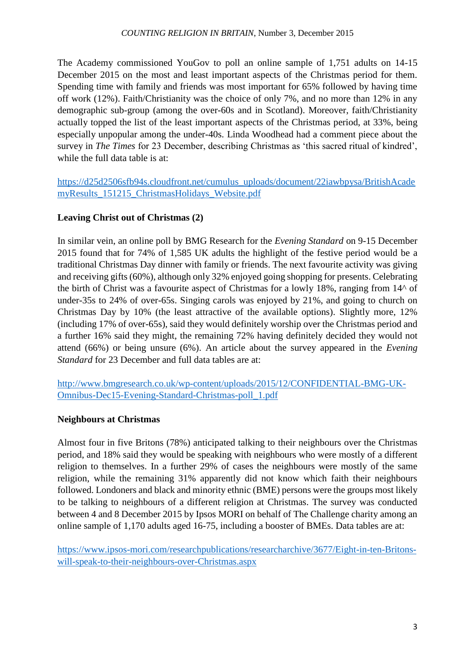The Academy commissioned YouGov to poll an online sample of 1,751 adults on 14-15 December 2015 on the most and least important aspects of the Christmas period for them. Spending time with family and friends was most important for 65% followed by having time off work (12%). Faith/Christianity was the choice of only 7%, and no more than 12% in any demographic sub-group (among the over-60s and in Scotland). Moreover, faith/Christianity actually topped the list of the least important aspects of the Christmas period, at 33%, being especially unpopular among the under-40s. Linda Woodhead had a comment piece about the survey in *The Times* for 23 December, describing Christmas as 'this sacred ritual of kindred', while the full data table is at:

[https://d25d2506sfb94s.cloudfront.net/cumulus\\_uploads/document/22iawbpysa/BritishAcade](https://d25d2506sfb94s.cloudfront.net/cumulus_uploads/document/22iawbpysa/BritishAcademyResults_151215_ChristmasHolidays_Website.pdf) [myResults\\_151215\\_ChristmasHolidays\\_Website.pdf](https://d25d2506sfb94s.cloudfront.net/cumulus_uploads/document/22iawbpysa/BritishAcademyResults_151215_ChristmasHolidays_Website.pdf)

# **Leaving Christ out of Christmas (2)**

In similar vein, an online poll by BMG Research for the *Evening Standard* on 9-15 December 2015 found that for 74% of 1,585 UK adults the highlight of the festive period would be a traditional Christmas Day dinner with family or friends. The next favourite activity was giving and receiving gifts (60%), although only 32% enjoyed going shopping for presents. Celebrating the birth of Christ was a favourite aspect of Christmas for a lowly 18%, ranging from 14^ of under-35s to 24% of over-65s. Singing carols was enjoyed by 21%, and going to church on Christmas Day by 10% (the least attractive of the available options). Slightly more, 12% (including 17% of over-65s), said they would definitely worship over the Christmas period and a further 16% said they might, the remaining 72% having definitely decided they would not attend (66%) or being unsure (6%). An article about the survey appeared in the *Evening Standard* for 23 December and full data tables are at:

[http://www.bmgresearch.co.uk/wp-content/uploads/2015/12/CONFIDENTIAL-BMG-UK-](http://www.bmgresearch.co.uk/wp-content/uploads/2015/12/CONFIDENTIAL-BMG-UK-Omnibus-Dec15-Evening-Standard-Christmas-poll_1.pdf)[Omnibus-Dec15-Evening-Standard-Christmas-poll\\_1.pdf](http://www.bmgresearch.co.uk/wp-content/uploads/2015/12/CONFIDENTIAL-BMG-UK-Omnibus-Dec15-Evening-Standard-Christmas-poll_1.pdf)

# **Neighbours at Christmas**

Almost four in five Britons (78%) anticipated talking to their neighbours over the Christmas period, and 18% said they would be speaking with neighbours who were mostly of a different religion to themselves. In a further 29% of cases the neighbours were mostly of the same religion, while the remaining 31% apparently did not know which faith their neighbours followed. Londoners and black and minority ethnic (BME) persons were the groups most likely to be talking to neighbours of a different religion at Christmas. The survey was conducted between 4 and 8 December 2015 by Ipsos MORI on behalf of The Challenge charity among an online sample of 1,170 adults aged 16-75, including a booster of BMEs. Data tables are at:

[https://www.ipsos-mori.com/researchpublications/researcharchive/3677/Eight-in-ten-Britons](https://www.ipsos-mori.com/researchpublications/researcharchive/3677/Eight-in-ten-Britons-will-speak-to-their-neighbours-over-Christmas.aspx)[will-speak-to-their-neighbours-over-Christmas.aspx](https://www.ipsos-mori.com/researchpublications/researcharchive/3677/Eight-in-ten-Britons-will-speak-to-their-neighbours-over-Christmas.aspx)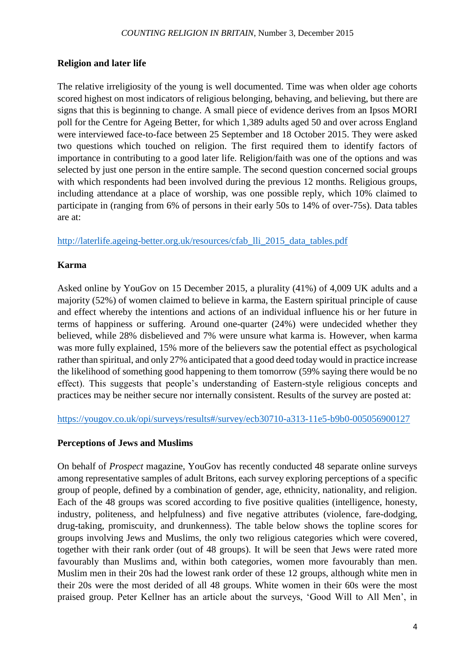# **Religion and later life**

The relative irreligiosity of the young is well documented. Time was when older age cohorts scored highest on most indicators of religious belonging, behaving, and believing, but there are signs that this is beginning to change. A small piece of evidence derives from an Ipsos MORI poll for the Centre for Ageing Better, for which 1,389 adults aged 50 and over across England were interviewed face-to-face between 25 September and 18 October 2015. They were asked two questions which touched on religion. The first required them to identify factors of importance in contributing to a good later life. Religion/faith was one of the options and was selected by just one person in the entire sample. The second question concerned social groups with which respondents had been involved during the previous 12 months. Religious groups, including attendance at a place of worship, was one possible reply, which 10% claimed to participate in (ranging from 6% of persons in their early 50s to 14% of over-75s). Data tables are at:

[http://laterlife.ageing-better.org.uk/resources/cfab\\_lli\\_2015\\_data\\_tables.pdf](http://laterlife.ageing-better.org.uk/resources/cfab_lli_2015_data_tables.pdf)

# **Karma**

Asked online by YouGov on 15 December 2015, a plurality (41%) of 4,009 UK adults and a majority (52%) of women claimed to believe in karma, the Eastern spiritual principle of cause and effect whereby the intentions and actions of an individual influence his or her future in terms of happiness or suffering. Around one-quarter (24%) were undecided whether they believed, while 28% disbelieved and 7% were unsure what karma is. However, when karma was more fully explained, 15% more of the believers saw the potential effect as psychological rather than spiritual, and only 27% anticipated that a good deed today would in practice increase the likelihood of something good happening to them tomorrow (59% saying there would be no effect). This suggests that people's understanding of Eastern-style religious concepts and practices may be neither secure nor internally consistent. Results of the survey are posted at:

<https://yougov.co.uk/opi/surveys/results#/survey/ecb30710-a313-11e5-b9b0-005056900127>

# **Perceptions of Jews and Muslims**

On behalf of *Prospect* magazine, YouGov has recently conducted 48 separate online surveys among representative samples of adult Britons, each survey exploring perceptions of a specific group of people, defined by a combination of gender, age, ethnicity, nationality, and religion. Each of the 48 groups was scored according to five positive qualities (intelligence, honesty, industry, politeness, and helpfulness) and five negative attributes (violence, fare-dodging, drug-taking, promiscuity, and drunkenness). The table below shows the topline scores for groups involving Jews and Muslims, the only two religious categories which were covered, together with their rank order (out of 48 groups). It will be seen that Jews were rated more favourably than Muslims and, within both categories, women more favourably than men. Muslim men in their 20s had the lowest rank order of these 12 groups, although white men in their 20s were the most derided of all 48 groups. White women in their 60s were the most praised group. Peter Kellner has an article about the surveys, 'Good Will to All Men', in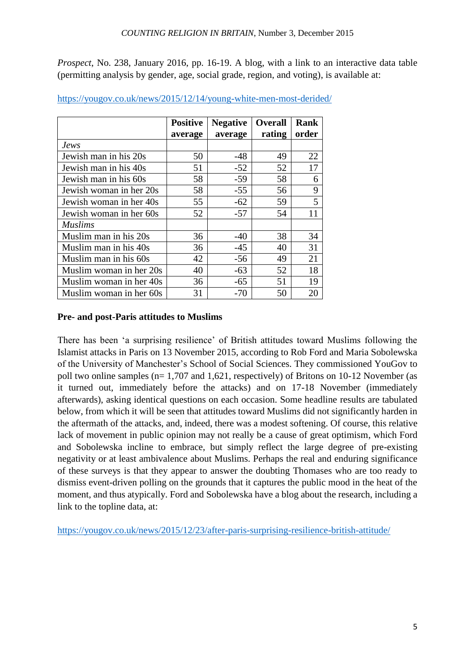*Prospect*, No. 238, January 2016, pp. 16-19. A blog, with a link to an interactive data table (permitting analysis by gender, age, social grade, region, and voting), is available at:

|                         | <b>Positive</b> | <b>Negative</b> | <b>Overall</b> | <b>Rank</b> |
|-------------------------|-----------------|-----------------|----------------|-------------|
|                         | average         | average         | rating         | order       |
| <i>Jews</i>             |                 |                 |                |             |
| Jewish man in his 20s   | 50              | -48             | 49             | 22          |
| Jewish man in his 40s   | 51              | $-52$           | 52             | 17          |
| Jewish man in his 60s   | 58              | $-59$           | 58             | 6           |
| Jewish woman in her 20s | 58              | $-55$           | 56             | 9           |
| Jewish woman in her 40s | 55              | $-62$           | 59             | 5           |
| Jewish woman in her 60s | 52              | $-57$           | 54             | 11          |
| <b>Muslims</b>          |                 |                 |                |             |
| Muslim man in his 20s   | 36              | $-40$           | 38             | 34          |
| Muslim man in his 40s   | 36              | $-45$           | 40             | 31          |
| Muslim man in his 60s   | 42              | $-56$           | 49             | 21          |
| Muslim woman in her 20s | 40              | $-63$           | 52             | 18          |
| Muslim woman in her 40s | 36              | $-65$           | 51             | 19          |
| Muslim woman in her 60s | 31              | $-70$           | 50             | 20          |

<https://yougov.co.uk/news/2015/12/14/young-white-men-most-derided/>

# **Pre- and post-Paris attitudes to Muslims**

There has been 'a surprising resilience' of British attitudes toward Muslims following the Islamist attacks in Paris on 13 November 2015, according to Rob Ford and Maria Sobolewska of the University of Manchester's School of Social Sciences. They commissioned YouGov to poll two online samples (n= 1,707 and 1,621, respectively) of Britons on 10-12 November (as it turned out, immediately before the attacks) and on 17-18 November (immediately afterwards), asking identical questions on each occasion. Some headline results are tabulated below, from which it will be seen that attitudes toward Muslims did not significantly harden in the aftermath of the attacks, and, indeed, there was a modest softening. Of course, this relative lack of movement in public opinion may not really be a cause of great optimism, which Ford and Sobolewska incline to embrace, but simply reflect the large degree of pre-existing negativity or at least ambivalence about Muslims. Perhaps the real and enduring significance of these surveys is that they appear to answer the doubting Thomases who are too ready to dismiss event-driven polling on the grounds that it captures the public mood in the heat of the moment, and thus atypically. Ford and Sobolewska have a blog about the research, including a link to the topline data, at:

<https://yougov.co.uk/news/2015/12/23/after-paris-surprising-resilience-british-attitude/>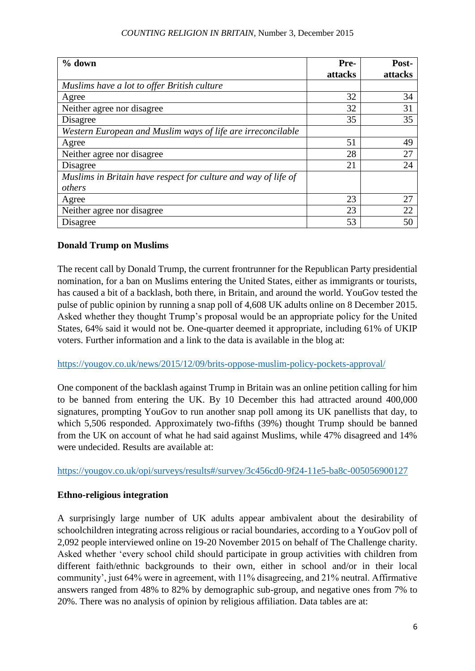#### *COUNTING RELIGION IN BRITAIN*, Number 3, December 2015

| $%$ down                                                       | Pre-    | Post-   |
|----------------------------------------------------------------|---------|---------|
|                                                                | attacks | attacks |
| Muslims have a lot to offer British culture                    |         |         |
| Agree                                                          | 32      | 34      |
| Neither agree nor disagree                                     | 32      | 31      |
| Disagree                                                       | 35      | 35      |
| Western European and Muslim ways of life are irreconcilable    |         |         |
| Agree                                                          | 51      | 49      |
| Neither agree nor disagree                                     | 28      | 27      |
| Disagree                                                       | 21      | 24      |
| Muslims in Britain have respect for culture and way of life of |         |         |
| others                                                         |         |         |
| Agree                                                          | 23      | 27      |
| Neither agree nor disagree                                     | 23      | 22      |
| Disagree                                                       | 53      | 50      |

#### **Donald Trump on Muslims**

The recent call by Donald Trump, the current frontrunner for the Republican Party presidential nomination, for a ban on Muslims entering the United States, either as immigrants or tourists, has caused a bit of a backlash, both there, in Britain, and around the world. YouGov tested the pulse of public opinion by running a snap poll of 4,608 UK adults online on 8 December 2015. Asked whether they thought Trump's proposal would be an appropriate policy for the United States, 64% said it would not be. One-quarter deemed it appropriate, including 61% of UKIP voters. Further information and a link to the data is available in the blog at:

#### <https://yougov.co.uk/news/2015/12/09/brits-oppose-muslim-policy-pockets-approval/>

One component of the backlash against Trump in Britain was an online petition calling for him to be banned from entering the UK. By 10 December this had attracted around 400,000 signatures, prompting YouGov to run another snap poll among its UK panellists that day, to which 5,506 responded. Approximately two-fifths (39%) thought Trump should be banned from the UK on account of what he had said against Muslims, while 47% disagreed and 14% were undecided. Results are available at:

<https://yougov.co.uk/opi/surveys/results#/survey/3c456cd0-9f24-11e5-ba8c-005056900127>

#### **Ethno-religious integration**

A surprisingly large number of UK adults appear ambivalent about the desirability of schoolchildren integrating across religious or racial boundaries, according to a YouGov poll of 2,092 people interviewed online on 19-20 November 2015 on behalf of The Challenge charity. Asked whether 'every school child should participate in group activities with children from different faith/ethnic backgrounds to their own, either in school and/or in their local community', just 64% were in agreement, with 11% disagreeing, and 21% neutral. Affirmative answers ranged from 48% to 82% by demographic sub-group, and negative ones from 7% to 20%. There was no analysis of opinion by religious affiliation. Data tables are at: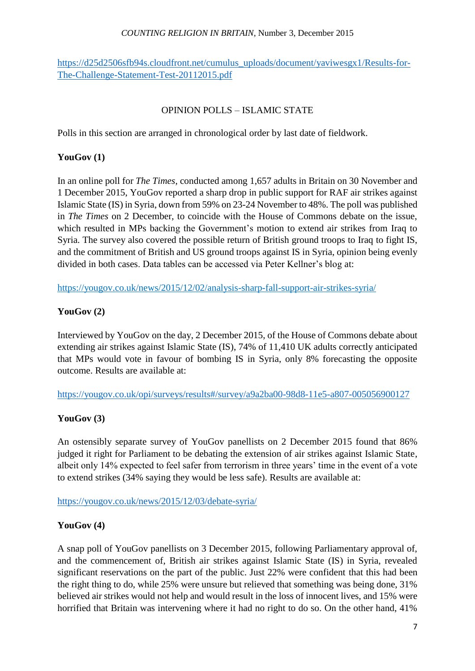#### *COUNTING RELIGION IN BRITAIN*, Number 3, December 2015

# [https://d25d2506sfb94s.cloudfront.net/cumulus\\_uploads/document/yaviwesgx1/Results-for-](https://d25d2506sfb94s.cloudfront.net/cumulus_uploads/document/yaviwesgx1/Results-for-The-Challenge-Statement-Test-20112015.pdf)[The-Challenge-Statement-Test-20112015.pdf](https://d25d2506sfb94s.cloudfront.net/cumulus_uploads/document/yaviwesgx1/Results-for-The-Challenge-Statement-Test-20112015.pdf)

# OPINION POLLS – ISLAMIC STATE

Polls in this section are arranged in chronological order by last date of fieldwork.

# **YouGov (1)**

In an online poll for *The Times*, conducted among 1,657 adults in Britain on 30 November and 1 December 2015, YouGov reported a sharp drop in public support for RAF air strikes against Islamic State (IS) in Syria, down from 59% on 23-24 November to 48%. The poll was published in *The Times* on 2 December, to coincide with the House of Commons debate on the issue, which resulted in MPs backing the Government's motion to extend air strikes from Iraq to Syria. The survey also covered the possible return of British ground troops to Iraq to fight IS, and the commitment of British and US ground troops against IS in Syria, opinion being evenly divided in both cases. Data tables can be accessed via Peter Kellner's blog at:

<https://yougov.co.uk/news/2015/12/02/analysis-sharp-fall-support-air-strikes-syria/>

# **YouGov (2)**

Interviewed by YouGov on the day, 2 December 2015, of the House of Commons debate about extending air strikes against Islamic State (IS), 74% of 11,410 UK adults correctly anticipated that MPs would vote in favour of bombing IS in Syria, only 8% forecasting the opposite outcome. Results are available at:

<https://yougov.co.uk/opi/surveys/results#/survey/a9a2ba00-98d8-11e5-a807-005056900127>

# **YouGov (3)**

An ostensibly separate survey of YouGov panellists on 2 December 2015 found that 86% judged it right for Parliament to be debating the extension of air strikes against Islamic State, albeit only 14% expected to feel safer from terrorism in three years' time in the event of a vote to extend strikes (34% saying they would be less safe). Results are available at:

<https://yougov.co.uk/news/2015/12/03/debate-syria/>

# **YouGov (4)**

A snap poll of YouGov panellists on 3 December 2015, following Parliamentary approval of, and the commencement of, British air strikes against Islamic State (IS) in Syria, revealed significant reservations on the part of the public. Just 22% were confident that this had been the right thing to do, while 25% were unsure but relieved that something was being done, 31% believed air strikes would not help and would result in the loss of innocent lives, and 15% were horrified that Britain was intervening where it had no right to do so. On the other hand, 41%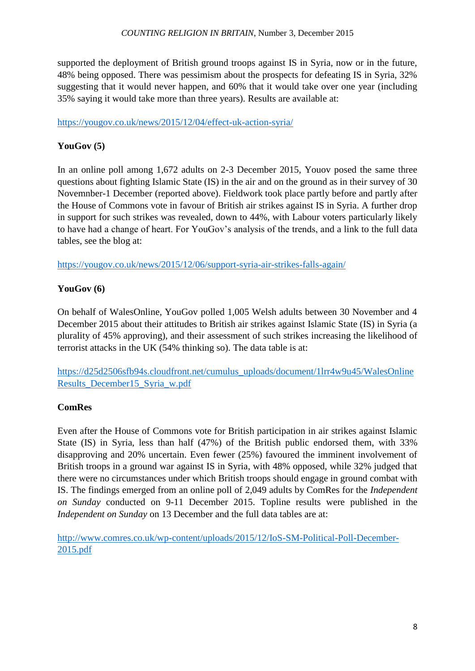supported the deployment of British ground troops against IS in Syria, now or in the future, 48% being opposed. There was pessimism about the prospects for defeating IS in Syria, 32% suggesting that it would never happen, and 60% that it would take over one year (including 35% saying it would take more than three years). Results are available at:

<https://yougov.co.uk/news/2015/12/04/effect-uk-action-syria/>

# **YouGov (5)**

In an online poll among 1,672 adults on 2-3 December 2015, Youov posed the same three questions about fighting Islamic State (IS) in the air and on the ground as in their survey of 30 Novemnber-1 December (reported above). Fieldwork took place partly before and partly after the House of Commons vote in favour of British air strikes against IS in Syria. A further drop in support for such strikes was revealed, down to 44%, with Labour voters particularly likely to have had a change of heart. For YouGov's analysis of the trends, and a link to the full data tables, see the blog at:

<https://yougov.co.uk/news/2015/12/06/support-syria-air-strikes-falls-again/>

# **YouGov (6)**

On behalf of WalesOnline, YouGov polled 1,005 Welsh adults between 30 November and 4 December 2015 about their attitudes to British air strikes against Islamic State (IS) in Syria (a plurality of 45% approving), and their assessment of such strikes increasing the likelihood of terrorist attacks in the UK (54% thinking so). The data table is at:

[https://d25d2506sfb94s.cloudfront.net/cumulus\\_uploads/document/1lrr4w9u45/WalesOnline](https://d25d2506sfb94s.cloudfront.net/cumulus_uploads/document/1lrr4w9u45/WalesOnlineResults_December15_Syria_w.pdf) [Results\\_December15\\_Syria\\_w.pdf](https://d25d2506sfb94s.cloudfront.net/cumulus_uploads/document/1lrr4w9u45/WalesOnlineResults_December15_Syria_w.pdf)

# **ComRes**

Even after the House of Commons vote for British participation in air strikes against Islamic State (IS) in Syria, less than half (47%) of the British public endorsed them, with 33% disapproving and 20% uncertain. Even fewer (25%) favoured the imminent involvement of British troops in a ground war against IS in Syria, with 48% opposed, while 32% judged that there were no circumstances under which British troops should engage in ground combat with IS. The findings emerged from an online poll of 2,049 adults by ComRes for the *Independent on Sunday* conducted on 9-11 December 2015. Topline results were published in the *Independent on Sunday* on 13 December and the full data tables are at:

[http://www.comres.co.uk/wp-content/uploads/2015/12/IoS-SM-Political-Poll-December-](http://www.comres.co.uk/wp-content/uploads/2015/12/IoS-SM-Political-Poll-December-2015.pdf)[2015.pdf](http://www.comres.co.uk/wp-content/uploads/2015/12/IoS-SM-Political-Poll-December-2015.pdf)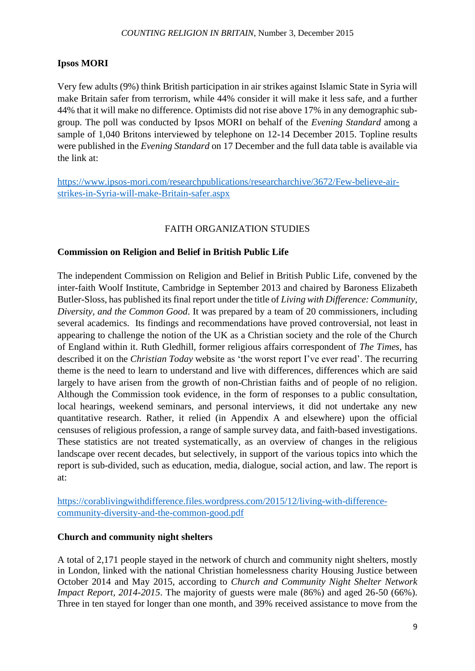# **Ipsos MORI**

Very few adults (9%) think British participation in air strikes against Islamic State in Syria will make Britain safer from terrorism, while 44% consider it will make it less safe, and a further 44% that it will make no difference. Optimists did not rise above 17% in any demographic subgroup. The poll was conducted by Ipsos MORI on behalf of the *Evening Standard* among a sample of 1,040 Britons interviewed by telephone on 12-14 December 2015. Topline results were published in the *Evening Standard* on 17 December and the full data table is available via the link at:

[https://www.ipsos-mori.com/researchpublications/researcharchive/3672/Few-believe-air](https://www.ipsos-mori.com/researchpublications/researcharchive/3672/Few-believe-air-strikes-in-Syria-will-make-Britain-safer.aspx)[strikes-in-Syria-will-make-Britain-safer.aspx](https://www.ipsos-mori.com/researchpublications/researcharchive/3672/Few-believe-air-strikes-in-Syria-will-make-Britain-safer.aspx)

# FAITH ORGANIZATION STUDIES

# **Commission on Religion and Belief in British Public Life**

The independent Commission on Religion and Belief in British Public Life, convened by the inter-faith Woolf Institute, Cambridge in September 2013 and chaired by Baroness Elizabeth Butler-Sloss, has published its final report under the title of *Living with Difference: Community, Diversity, and the Common Good*. It was prepared by a team of 20 commissioners, including several academics. Its findings and recommendations have proved controversial, not least in appearing to challenge the notion of the UK as a Christian society and the role of the Church of England within it. Ruth Gledhill, former religious affairs correspondent of *The Times*, has described it on the *Christian Today* website as 'the worst report I've ever read'. The recurring theme is the need to learn to understand and live with differences, differences which are said largely to have arisen from the growth of non-Christian faiths and of people of no religion. Although the Commission took evidence, in the form of responses to a public consultation, local hearings, weekend seminars, and personal interviews, it did not undertake any new quantitative research. Rather, it relied (in Appendix A and elsewhere) upon the official censuses of religious profession, a range of sample survey data, and faith-based investigations. These statistics are not treated systematically, as an overview of changes in the religious landscape over recent decades, but selectively, in support of the various topics into which the report is sub-divided, such as education, media, dialogue, social action, and law. The report is at:

[https://corablivingwithdifference.files.wordpress.com/2015/12/living-with-difference](https://corablivingwithdifference.files.wordpress.com/2015/12/living-with-difference-community-diversity-and-the-common-good.pdf)[community-diversity-and-the-common-good.pdf](https://corablivingwithdifference.files.wordpress.com/2015/12/living-with-difference-community-diversity-and-the-common-good.pdf)

#### **Church and community night shelters**

A total of 2,171 people stayed in the network of church and community night shelters, mostly in London, linked with the national Christian homelessness charity Housing Justice between October 2014 and May 2015, according to *Church and Community Night Shelter Network Impact Report, 2014-2015*. The majority of guests were male (86%) and aged 26-50 (66%). Three in ten stayed for longer than one month, and 39% received assistance to move from the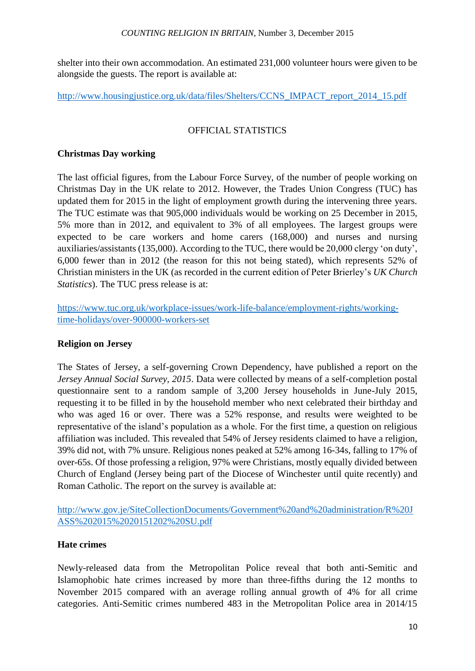#### *COUNTING RELIGION IN BRITAIN*, Number 3, December 2015

shelter into their own accommodation. An estimated 231,000 volunteer hours were given to be alongside the guests. The report is available at:

[http://www.housingjustice.org.uk/data/files/Shelters/CCNS\\_IMPACT\\_report\\_2014\\_15.pdf](http://www.housingjustice.org.uk/data/files/Shelters/CCNS_IMPACT_report_2014_15.pdf)

# OFFICIAL STATISTICS

# **Christmas Day working**

The last official figures, from the Labour Force Survey, of the number of people working on Christmas Day in the UK relate to 2012. However, the Trades Union Congress (TUC) has updated them for 2015 in the light of employment growth during the intervening three years. The TUC estimate was that 905,000 individuals would be working on 25 December in 2015, 5% more than in 2012, and equivalent to 3% of all employees. The largest groups were expected to be care workers and home carers (168,000) and nurses and nursing auxiliaries/assistants (135,000). According to the TUC, there would be 20,000 clergy 'on duty', 6,000 fewer than in 2012 (the reason for this not being stated), which represents 52% of Christian ministers in the UK (as recorded in the current edition of Peter Brierley's *UK Church Statistics*). The TUC press release is at:

[https://www.tuc.org.uk/workplace-issues/work-life-balance/employment-rights/working](https://www.tuc.org.uk/workplace-issues/work-life-balance/employment-rights/working-time-holidays/over-900000-workers-set)[time-holidays/over-900000-workers-set](https://www.tuc.org.uk/workplace-issues/work-life-balance/employment-rights/working-time-holidays/over-900000-workers-set)

# **Religion on Jersey**

The States of Jersey, a self-governing Crown Dependency, have published a report on the *Jersey Annual Social Survey, 2015*. Data were collected by means of a self-completion postal questionnaire sent to a random sample of 3,200 Jersey households in June-July 2015, requesting it to be filled in by the household member who next celebrated their birthday and who was aged 16 or over. There was a 52% response, and results were weighted to be representative of the island's population as a whole. For the first time, a question on religious affiliation was included. This revealed that 54% of Jersey residents claimed to have a religion, 39% did not, with 7% unsure. Religious nones peaked at 52% among 16-34s, falling to 17% of over-65s. Of those professing a religion, 97% were Christians, mostly equally divided between Church of England (Jersey being part of the Diocese of Winchester until quite recently) and Roman Catholic. The report on the survey is available at:

[http://www.gov.je/SiteCollectionDocuments/Government%20and%20administration/R%20J](http://www.gov.je/SiteCollectionDocuments/Government%20and%20administration/R%20JASS%202015%2020151202%20SU.pdf) [ASS%202015%2020151202%20SU.pdf](http://www.gov.je/SiteCollectionDocuments/Government%20and%20administration/R%20JASS%202015%2020151202%20SU.pdf)

# **Hate crimes**

Newly-released data from the Metropolitan Police reveal that both anti-Semitic and Islamophobic hate crimes increased by more than three-fifths during the 12 months to November 2015 compared with an average rolling annual growth of 4% for all crime categories. Anti-Semitic crimes numbered 483 in the Metropolitan Police area in 2014/15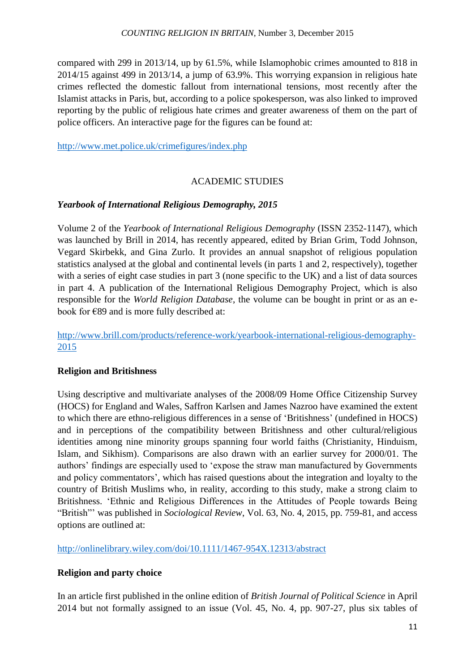compared with 299 in 2013/14, up by 61.5%, while Islamophobic crimes amounted to 818 in 2014/15 against 499 in 2013/14, a jump of 63.9%. This worrying expansion in religious hate crimes reflected the domestic fallout from international tensions, most recently after the Islamist attacks in Paris, but, according to a police spokesperson, was also linked to improved reporting by the public of religious hate crimes and greater awareness of them on the part of police officers. An interactive page for the figures can be found at:

<http://www.met.police.uk/crimefigures/index.php>

# ACADEMIC STUDIES

# *Yearbook of International Religious Demography, 2015*

Volume 2 of the *Yearbook of International Religious Demography* (ISSN 2352-1147), which was launched by Brill in 2014, has recently appeared, edited by Brian Grim, Todd Johnson, Vegard Skirbekk, and Gina Zurlo. It provides an annual snapshot of religious population statistics analysed at the global and continental levels (in parts 1 and 2, respectively), together with a series of eight case studies in part 3 (none specific to the UK) and a list of data sources in part 4. A publication of the International Religious Demography Project, which is also responsible for the *World Religion Database*, the volume can be bought in print or as an ebook for €89 and is more fully described at:

[http://www.brill.com/products/reference-work/yearbook-international-religious-demography-](http://www.brill.com/products/reference-work/yearbook-international-religious-demography-2015)[2015](http://www.brill.com/products/reference-work/yearbook-international-religious-demography-2015)

# **Religion and Britishness**

Using descriptive and multivariate analyses of the 2008/09 Home Office Citizenship Survey (HOCS) for England and Wales, Saffron Karlsen and James Nazroo have examined the extent to which there are ethno-religious differences in a sense of 'Britishness' (undefined in HOCS) and in perceptions of the compatibility between Britishness and other cultural/religious identities among nine minority groups spanning four world faiths (Christianity, Hinduism, Islam, and Sikhism). Comparisons are also drawn with an earlier survey for 2000/01. The authors' findings are especially used to 'expose the straw man manufactured by Governments and policy commentators', which has raised questions about the integration and loyalty to the country of British Muslims who, in reality, according to this study, make a strong claim to Britishness. 'Ethnic and Religious Differences in the Attitudes of People towards Being "British"' was published in *Sociological Review*, Vol. 63, No. 4, 2015, pp. 759-81, and access options are outlined at:

<http://onlinelibrary.wiley.com/doi/10.1111/1467-954X.12313/abstract>

# **Religion and party choice**

In an article first published in the online edition of *British Journal of Political Science* in April 2014 but not formally assigned to an issue (Vol. 45, No. 4, pp. 907-27, plus six tables of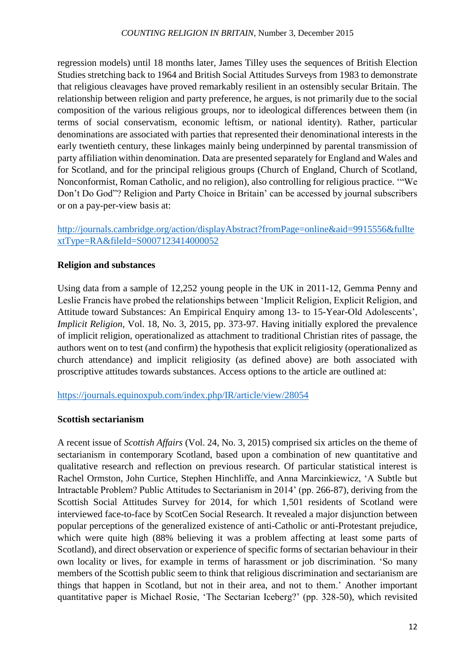regression models) until 18 months later, James Tilley uses the sequences of British Election Studies stretching back to 1964 and British Social Attitudes Surveys from 1983 to demonstrate that religious cleavages have proved remarkably resilient in an ostensibly secular Britain. The relationship between religion and party preference, he argues, is not primarily due to the social composition of the various religious groups, nor to ideological differences between them (in terms of social conservatism, economic leftism, or national identity). Rather, particular denominations are associated with parties that represented their denominational interests in the early twentieth century, these linkages mainly being underpinned by parental transmission of party affiliation within denomination. Data are presented separately for England and Wales and for Scotland, and for the principal religious groups (Church of England, Church of Scotland, Nonconformist, Roman Catholic, and no religion), also controlling for religious practice. '"We Don't Do God"? Religion and Party Choice in Britain' can be accessed by journal subscribers or on a pay-per-view basis at:

# [http://journals.cambridge.org/action/displayAbstract?fromPage=online&aid=9915556&fullte](http://journals.cambridge.org/action/displayAbstract?fromPage=online&aid=9915556&fulltextType=RA&fileId=S0007123414000052) [xtType=RA&fileId=S0007123414000052](http://journals.cambridge.org/action/displayAbstract?fromPage=online&aid=9915556&fulltextType=RA&fileId=S0007123414000052)

# **Religion and substances**

Using data from a sample of 12,252 young people in the UK in 2011-12, Gemma Penny and Leslie Francis have probed the relationships between 'Implicit Religion, Explicit Religion, and Attitude toward Substances: An Empirical Enquiry among 13- to 15-Year-Old Adolescents', *Implicit Religion*, Vol. 18, No. 3, 2015, pp. 373-97. Having initially explored the prevalence of implicit religion, operationalized as attachment to traditional Christian rites of passage, the authors went on to test (and confirm) the hypothesis that explicit religiosity (operationalized as church attendance) and implicit religiosity (as defined above) are both associated with proscriptive attitudes towards substances. Access options to the article are outlined at:

<https://journals.equinoxpub.com/index.php/IR/article/view/28054>

#### **Scottish sectarianism**

A recent issue of *Scottish Affairs* (Vol. 24, No. 3, 2015) comprised six articles on the theme of sectarianism in contemporary Scotland, based upon a combination of new quantitative and qualitative research and reflection on previous research. Of particular statistical interest is Rachel Ormston, John Curtice, Stephen Hinchliffe, and Anna Marcinkiewicz, 'A Subtle but Intractable Problem? Public Attitudes to Sectarianism in 2014' (pp. 266-87), deriving from the Scottish Social Attitudes Survey for 2014, for which 1,501 residents of Scotland were interviewed face-to-face by ScotCen Social Research. It revealed a major disjunction between popular perceptions of the generalized existence of anti-Catholic or anti-Protestant prejudice, which were quite high (88% believing it was a problem affecting at least some parts of Scotland), and direct observation or experience of specific forms of sectarian behaviour in their own locality or lives, for example in terms of harassment or job discrimination. 'So many members of the Scottish public seem to think that religious discrimination and sectarianism are things that happen in Scotland, but not in their area, and not to them.' Another important quantitative paper is Michael Rosie, 'The Sectarian Iceberg?' (pp. 328-50), which revisited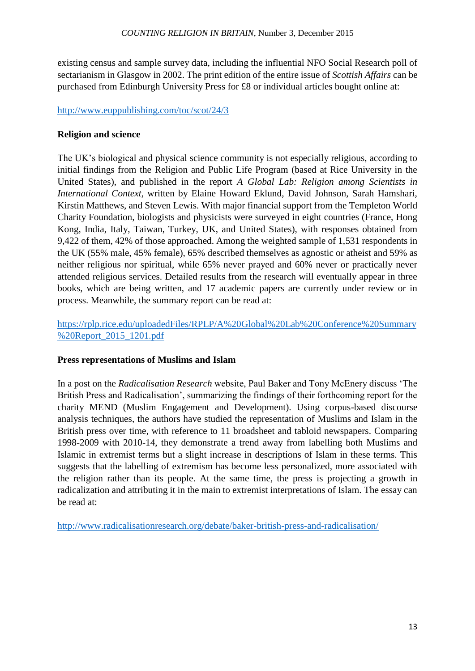existing census and sample survey data, including the influential NFO Social Research poll of sectarianism in Glasgow in 2002. The print edition of the entire issue of *Scottish Affairs* can be purchased from Edinburgh University Press for £8 or individual articles bought online at:

# <http://www.euppublishing.com/toc/scot/24/3>

#### **Religion and science**

The UK's biological and physical science community is not especially religious, according to initial findings from the Religion and Public Life Program (based at Rice University in the United States), and published in the report *A Global Lab: Religion among Scientists in International Context*, written by Elaine Howard Eklund, David Johnson, Sarah Hamshari, Kirstin Matthews, and Steven Lewis. With major financial support from the Templeton World Charity Foundation, biologists and physicists were surveyed in eight countries (France, Hong Kong, India, Italy, Taiwan, Turkey, UK, and United States), with responses obtained from 9,422 of them, 42% of those approached. Among the weighted sample of 1,531 respondents in the UK (55% male, 45% female), 65% described themselves as agnostic or atheist and 59% as neither religious nor spiritual, while 65% never prayed and 60% never or practically never attended religious services. Detailed results from the research will eventually appear in three books, which are being written, and 17 academic papers are currently under review or in process. Meanwhile, the summary report can be read at:

# [https://rplp.rice.edu/uploadedFiles/RPLP/A%20Global%20Lab%20Conference%20Summary](https://rplp.rice.edu/uploadedFiles/RPLP/A%20Global%20Lab%20Conference%20Summary%20Report_2015_1201.pdf) [%20Report\\_2015\\_1201.pdf](https://rplp.rice.edu/uploadedFiles/RPLP/A%20Global%20Lab%20Conference%20Summary%20Report_2015_1201.pdf)

# **Press representations of Muslims and Islam**

In a post on the *Radicalisation Research* website, Paul Baker and Tony McEnery discuss 'The British Press and Radicalisation', summarizing the findings of their forthcoming report for the charity MEND (Muslim Engagement and Development). Using corpus-based discourse analysis techniques, the authors have studied the representation of Muslims and Islam in the British press over time, with reference to 11 broadsheet and tabloid newspapers. Comparing 1998-2009 with 2010-14, they demonstrate a trend away from labelling both Muslims and Islamic in extremist terms but a slight increase in descriptions of Islam in these terms. This suggests that the labelling of extremism has become less personalized, more associated with the religion rather than its people. At the same time, the press is projecting a growth in radicalization and attributing it in the main to extremist interpretations of Islam. The essay can be read at:

<http://www.radicalisationresearch.org/debate/baker-british-press-and-radicalisation/>